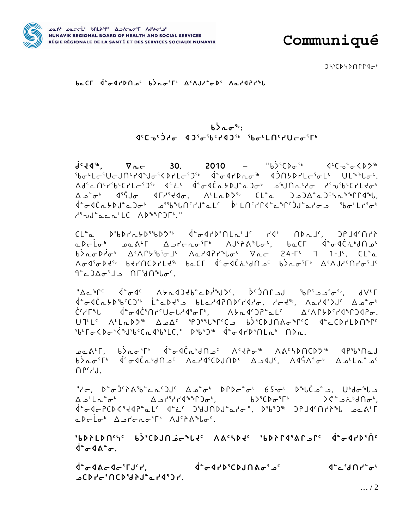

Communiqué

 $J\mathcal{L}^{\mathcal{L}}(D\mathcal{L}D\cap\Gamma\Gamma\mathcal{L}C^{\mathcal{L}})$ 

beCL d<sup>e</sup> dyDDac b>roir A<AJded< AeddPddL

## $b$  $\lambda$   $\sigma$ <sup>5b</sup>:  $\left\langle \left( \frac{1}{2} \sigma^c \right) \sigma^c \right\rangle = \left\langle \left( \frac{1}{2} \sigma^c \sigma^c \right) \sigma^c \right\rangle = \left\langle \left( \frac{1}{2} \sigma^c \sigma^c \right) \sigma^c \right\rangle$

 $\mathbf{d}^c \mathbf{d}^d$ ,  $\nabla_{\mathbf{n}} \mathbf{c}$  30, 2010 - "b>  $\mathbf{d}^c \mathbf{d}^d$   $\mathbf{d}^c \mathbf{c}^d$ ჼbơ└L⊂ჼU⊂JՈჼґぽჼJơჼ≦ÞґL⊂ჼጋჼჼ \_ ₫ჼơIґ▷rơჼჼ \_ IJՈ5ÞґL⊂ჼơLჼ \_ ULჼჼႱơჼ.  $\Delta d^c \text{C1}^c l^5 b^c C l^c L c^5 D^{5b} - d^c c^c - d^a \sigma d \dot{C} \alpha b D^a b^c D \sigma^b - a^b J \cap \alpha^c l^c \sigma - l^c J^c b^c C l^c L^c \sigma^b$  $\Delta \phi^* \sigma^* = 10^9$  (  $10^9$  )  $10^9$  (  $10^9$  )  $10^9$  )  $10^9$   $10^9$  )  $10^9$   $10^9$   $10^9$   $10^9$   $10^9$   $10^9$   $10^9$   $10^9$   $10^9$   $10^9$   $10^9$   $10^9$   $10^9$   $10^9$   $10^9$   $10^9$   $10^9$   $10^9$   $10^9$   $10^9$   $10^9$   $\vec{q}^a \sigma \vec{q} \vec{C} \vec{n} \vec{D} \vec{D}^a \vec{D}^a \vec{D}^b \vec{D}^c \vec{D}^c \vec{D}^c \vec{D}^c \vec{D}^c \vec{D}^c \vec{D}^c \vec{D}^c \vec{D}^c \vec{D}^c \vec{D}^c \vec{D}^c \vec{D}^c \vec{D}^c \vec{D}^c \vec{D}^c \vec{D}^c \vec{D}^c \vec{D}^c \vec{D}^c \vec{D}^c \vec{D}^c \vec{D}^c \vec{D}^c \vec{$ COLLECT APSOFT

 $CL^{\circ}$   $CL^{\circ}$   $D^{\circ}bD^{\circ}cD^{\circ}bD^{\circ}bD^{\circ}$   $\downarrow^{\circ}c4^{\circ}D^{\circ}DLc^{\circ}J^{\circ}$   $\downarrow^{\circ}c4^{\circ}D^{\circ}C^{\circ}J^{\circ}$ مكة أحدارة معدمة المستخدمة المستخدمة المستخدمة المستخدمة المستخدمة المستخدمة المستخدمة المستخدمة ال ᠰᠣᡏ᠍᠍ᢀ᠊᠘ᠳ᠉᠂ᢣᡳ᠓᠘ᢂ᠂ᠾ᠆᠄᠂ᢥᡉᠾ᠐ᢣᠾ᠅᠗᠕ᡆ᠈ᡁ᠉ᢣᡘᡆᡪᠾᢆᠰ᠉ᢣᡏ᠗ᠰᠾ᠈ᡗᡳ  $9°$ -J $\Delta \sigma$  $1$ J  $\Omega$ r $30°$ 

 $A^{\circ}$ "Ac<sup>\$</sup>r<sup>c</sup> d<sup>®</sup>od<sup>c</sup> A>ndJdb cDd\*Jd shoral shoral shoral shoral shoral shoral shoral shoral shoral shoral shoral shoral shoral d  $d^{\alpha}\sigma d\dot{C}\alpha b b^5 b^c C D^{fb} \quad \dot{L}^{\alpha}\alpha b d^5 D$  $\dot{C}^c \nabla \Gamma^s L \quad \dot{d}^a \sigma \dot{d} \dot{C}^c \Omega \Gamma^c U \sigma L \rho d^c \sigma \Gamma^b, \quad \Lambda \nabla \Lambda \dot{d}^c D P^a \Delta L^c \quad \Delta^c \Lambda \Gamma \nabla \rho^c \rho d^a \Gamma \, D \, d \, P \sigma.$ U7'LC A'LaDO<sup>S</sup> ADAC SPOSSLISPCO BOSCDJNA&SPC deCDPLDNSPC <sup>5</sup>b<sup>L</sup>  $\Gamma \sigma$ < $D \sigma$ <sup>5</sup>< $\sigma$ <sup>5</sup>b<sup>c</sup>C ~ 4<sup>5</sup>b<sup>5</sup>LC,"  $D$ <sup>5</sup>b<sup>5</sup>)<sup>56</sup>  $\dot{d}^{\alpha} \sigma$ 4r $D$ <sup>5</sup> $\cap$ L ~  $\dot{D}$   $D \sim$ .

**ےقدام کی است**قام کی است کا انہیں کہ انہیں کہ انہیں کہ انہیں کہ انہیں کہ انہیں کہ انہیں کہ انہیں کہ انہیں کہ ان b>ُمَّـْ d-ِّلْمَــْ d-d-c ^{-d-c ^{-d-c ^{-d-c ^{-d-c ^{-d-c ^{-d-c ^{-d-c ^{-d-c ^{-d-c ^{-d-c ^{- $\bigcap P^c$ 

"לڃ, 4°ھ)<sup>د</sup>145'دکھ"دھ کے ملک کا مشہد 1494ع میں انہیں کہ انہیں ہے۔ "לڃ"  $\Delta \mathcal{L}^{\mathsf{L}} \mathsf{L} \mathsf{L}^{\mathsf{L}} \sigma^{\mathsf{L}}$   $\Delta \mathcal{L}^{\mathsf{S}} \mathsf{L}^{\mathsf{L}} \mathsf{L}^{\mathsf{S}} \mathsf{L}^{\mathsf{S}} \sigma^{\mathsf{L}},$   $\Delta \mathsf{L}^{\mathsf{S}} \mathsf{L}^{\mathsf{S}} \sigma^{\mathsf{S}} \mathsf{L}^{\mathsf{S}}$   $\Delta \mathsf{L}^{\mathsf{S}} \mathsf{L}^{\mathsf{S}} \sigma^{\mathsf{S}} \mathsf{L}^{\mathsf{S}}$ 10-07-2011-10-2010 10-31-2010-10-2010-10-2010-10-2010-10-2010-10-2010-10-4 adclo<sup>6</sup> Apropo<sup>sp6</sup> AJ<sup>c</sup>ra<sup>6</sup>Lo<sup>c</sup>

**IPALDUCIC PSICDIUP-PLIC VVC/DIC IPDJLUIVLIC q-4JbiUc**  $\dot{q}^{\circ} \sigma$  4  $\Lambda^{\circ} \sigma$ .

 $\dot{q}^{\circ} \sigma \, \text{d}\, \text{A} \, \text{C} \, \text{d} \, \text{C} \, \text{d} \, \text{C} \, \text{d} \, \text{C} \, \text{d} \, \text{d} \, \text{d} \, \text{d} \, \text{d} \, \text{d} \, \text{d} \, \text{d} \, \text{d} \, \text{d} \, \text{d} \, \text{d} \, \text{d} \, \text{d} \, \text{d} \, \text{d} \, \text{d} \, \text{d} \, \text{d} \, \text{d} \, \text{d}$ LCPT-inCPiddia-inCPa